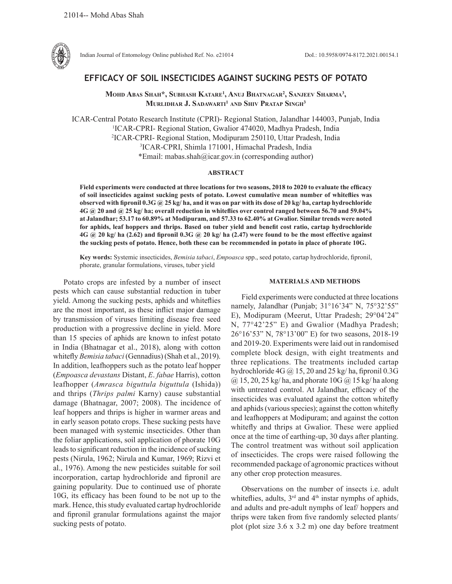

Indian Journal of Entomology Online published Ref. No. e21014 DoI.: 10.5958/0974-8172.2021.00154.1

# **EFFICACY OF SOIL INSECTICIDES AGAINST SUCKING PESTS OF POTATO**

**Mohd Abas Shah\*, Subhash Katare1 , Anuj Bhatnagar2 , Sanjeev Sharma3 , MURLIDHAR J. SADAWARTI<sup>1</sup> AND SHIV PRATAP SINGH<sup>3</sup>** 

ICAR-Central Potato Research Institute (CPRI)- Regional Station, Jalandhar 144003, Punjab, India 1 ICAR-CPRI- Regional Station, Gwalior 474020, Madhya Pradesh, India 2 ICAR-CPRI- Regional Station, Modipuram 250110, Uttar Pradesh, India 3 ICAR-CPRI, Shimla 171001, Himachal Pradesh, India \*Email: mabas.shah@icar.gov.in (corresponding author)

#### **ABSTRACT**

**Field experiments were conducted at three locations for two seasons, 2018 to 2020 to evaluate the efficacy of soil insecticides against sucking pests of potato. Lowest cumulative mean number of whiteflies was observed with fipronil 0.3G @ 25 kg/ ha, and it was on par with its dose of 20 kg/ ha, cartap hydrochloride 4G @ 20 and @ 25 kg/ ha; overall reduction in whiteflies over control ranged between 56.70 and 59.04% at Jalandhar; 53.17 to 60.89% at Modipuram, and 57.33 to 62.40% at Gwalior. Similar trends were noted for aphids, leaf hoppers and thrips. Based on tuber yield and benefit cost ratio, cartap hydrochloride 4G @ 20 kg/ ha (2.62) and fipronil 0.3G @ 20 kg/ ha (2.47) were found to be the most effective against the sucking pests of potato. Hence, both these can be recommended in potato in place of phorate 10G.**

**Key words:** Systemic insecticides, *Bemisia tabaci*, *Empoasca* spp., seed potato, cartap hydrochloride, fipronil, phorate, granular formulations, viruses, tuber yield

Potato crops are infested by a number of insect pests which can cause substantial reduction in tuber yield. Among the sucking pests, aphids and whiteflies are the most important, as these inflict major damage by transmission of viruses limiting disease free seed production with a progressive decline in yield. More than 15 species of aphids are known to infest potato in India (Bhatnagar et al., 2018), along with cotton whitefly *Bemisia tabaci* (Gennadius) (Shah et al., 2019). In addition, leafhoppers such as the potato leaf hopper (*Empoasca devastans* Distant, *E*. *fabae* Harris), cotton leafhopper (*Amrasca biguttula biguttula* (Ishida)) and thrips (*Thrips palmi* Karny) cause substantial damage (Bhatnagar, 2007; 2008). The incidence of leaf hoppers and thrips is higher in warmer areas and in early season potato crops. These sucking pests have been managed with systemic insecticides. Other than the foliar applications, soil application of phorate 10G leads to significant reduction in the incidence of sucking pests (Nirula, 1962; Nirula and Kumar, 1969; Rizvi et al., 1976). Among the new pesticides suitable for soil incorporation, cartap hydrochloride and fipronil are gaining popularity. Due to continued use of phorate 10G, its efficacy has been found to be not up to the mark. Hence, this study evaluated cartap hydrochloride and fipronil granular formulations against the major sucking pests of potato.

## **MATERIALS AND METHODS**

Field experiments were conducted at three locations namely, Jalandhar (Punjab; 31°16'34" N, 75°32'55" E), Modipuram (Meerut, Uttar Pradesh; 29°04'24" N, 77°42'25" E) and Gwalior (Madhya Pradesh; 26°16'53" N, 78°13'00" E) for two seasons, 2018-19 and 2019-20. Experiments were laid out in randomised complete block design, with eight treatments and three replications. The treatments included cartap hydrochloride  $4G$  ( $\overline{a}$ ) 15, 20 and 25 kg/ ha, fipronil 0.3G  $(a)$  15, 20, 25 kg/ ha, and phorate 10G  $(a)$  15 kg/ ha along with untreated control. At Jalandhar, efficacy of the insecticides was evaluated against the cotton whitefly and aphids (various species); against the cotton whitefly and leafhoppers at Modipuram; and against the cotton whitefly and thrips at Gwalior. These were applied once at the time of earthing-up, 30 days after planting. The control treatment was without soil application of insecticides. The crops were raised following the recommended package of agronomic practices without any other crop protection measures.

Observations on the number of insects i.e. adult whiteflies, adults, 3<sup>rd</sup> and 4<sup>th</sup> instar nymphs of aphids, and adults and pre-adult nymphs of leaf/ hoppers and thrips were taken from five randomly selected plants/ plot (plot size 3.6 x 3.2 m) one day before treatment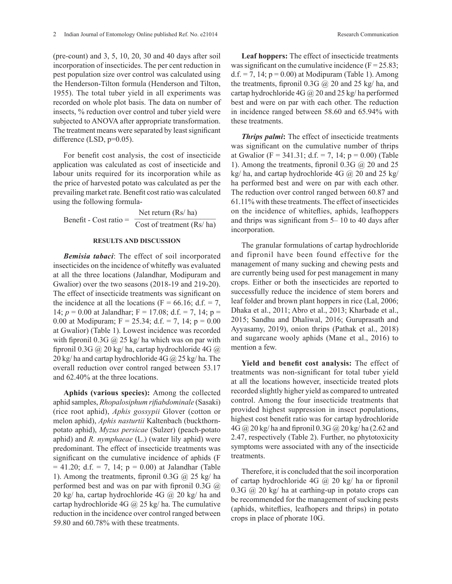(pre-count) and 3, 5, 10, 20, 30 and 40 days after soil incorporation of insecticides. The per cent reduction in pest population size over control was calculated using the Henderson-Tilton formula (Henderson and Tilton, 1955). The total tuber yield in all experiments was recorded on whole plot basis. The data on number of insects, % reduction over control and tuber yield were subjected to ANOVA after appropriate transformation. The treatment means were separated by least significant difference (LSD,  $p=0.05$ ).

For benefit cost analysis, the cost of insecticide application was calculated as cost of insecticide and labour units required for its incorporation while as the price of harvested potato was calculated as per the prevailing market rate. Benefit cost ratio was calculated using the following formula-

Benefit - Cost ratio = Net return (Rs/ ha) Benefit - Cost ratio =  $\frac{\text{Net return (KS/ ha)}}{\text{Cost of treatment (Rs/ ha)}}$ 

### **RESULTS AND DISCUSSION**

*Bemisia tabaci*: The effect of soil incorporated insecticides on the incidence of whitefly was evaluated at all the three locations (Jalandhar, Modipuram and Gwalior) over the two seasons (2018-19 and 219-20). The effect of insecticide treatments was significant on the incidence at all the locations ( $F = 66.16$ ; d.f. = 7, 14;  $p = 0.00$  at Jalandhar;  $F = 17.08$ ; d.f. = 7, 14;  $p =$ 0.00 at Modipuram;  $F = 25.34$ ; d.f. = 7, 14;  $p = 0.00$ at Gwalior) (Table 1). Lowest incidence was recorded with fipronil 0.3G  $\omega$  25 kg/ ha which was on par with fipronil 0.3G @ 20 kg/ ha, cartap hydrochloride 4G @ 20 kg/ ha and cartap hydrochloride  $4G$   $\omega$  25 kg/ ha. The overall reduction over control ranged between 53.17 and 62.40% at the three locations.

**Aphids (various species):** Among the collected aphid samples, *Rhopalosiphum rifiabdominale* (Sasaki) (rice root aphid), *Aphis gossypii* Glover (cotton or melon aphid), *Aphis nasturtii* Kaltenbach (buckthornpotato aphid), *Myzus persicae* (Sulzer) (peach-potato aphid) and *R. nymphaeae* (L.) (water lily aphid) were predominant. The effect of insecticide treatments was significant on the cumulative incidence of aphids (F  $= 41.20$ ; d.f.  $= 7$ , 14;  $p = 0.00$ ) at Jalandhar (Table 1). Among the treatments, fipronil 0.3G  $\omega$  25 kg/ ha performed best and was on par with fipronil 0.3G  $\omega$ 20 kg/ ha, cartap hydrochloride 4G @ 20 kg/ ha and cartap hydrochloride 4G  $\omega$  25 kg/ ha. The cumulative reduction in the incidence over control ranged between 59.80 and 60.78% with these treatments.

**Leaf hoppers:** The effect of insecticide treatments was significant on the cumulative incidence  $(F = 25.83)$ ;  $d.f. = 7$ , 14;  $p = 0.00$ ) at Modipuram (Table 1). Among the treatments, fipronil 0.3G  $\omega$  20 and 25 kg/ ha, and cartap hydrochloride  $4G \, \textcircled{a}$  20 and 25 kg/ ha performed best and were on par with each other. The reduction in incidence ranged between 58.60 and 65.94% with these treatments.

*Thrips palmi***:** The effect of insecticide treatments was significant on the cumulative number of thrips at Gwalior (F = 341.31; d.f. = 7, 14; p = 0.00) (Table 1). Among the treatments, fipronil 0.3G  $\omega$  20 and 25 kg/ ha, and cartap hydrochloride  $4G$   $\omega$  20 and 25 kg/ ha performed best and were on par with each other. The reduction over control ranged between 60.87 and 61.11% with these treatments. The effect of insecticides on the incidence of whiteflies, aphids, leafhoppers and thrips was significant from 5– 10 to 40 days after incorporation.

The granular formulations of cartap hydrochloride and fipronil have been found effective for the management of many sucking and chewing pests and are currently being used for pest management in many crops. Either or both the insecticides are reported to successfully reduce the incidence of stem borers and leaf folder and brown plant hoppers in rice (Lal, 2006; Dhaka et al., 2011; Abro et al., 2013; Kharbade et al., 2015; Sandhu and Dhaliwal, 2016; Guruprasath and Ayyasamy, 2019), onion thrips (Pathak et al., 2018) and sugarcane wooly aphids (Mane et al., 2016) to mention a few.

**Yield and benefit cost analysis:** The effect of treatments was non-significant for total tuber yield at all the locations however, insecticide treated plots recorded slightly higher yield as compared to untreated control. Among the four insecticide treatments that provided highest suppression in insect populations, highest cost benefit ratio was for cartap hydrochloride 4G @ 20 kg/ ha and fipronil 0.3G @ 20 kg/ ha (2.62 and 2.47, respectively (Table 2). Further, no phytotoxicity symptoms were associated with any of the insecticide treatments.

Therefore, it is concluded that the soil incorporation of cartap hydrochloride  $4G \ (\omega\ 20 \ \text{kg})$  ha or fipronil  $0.3G$   $\omega$   $20 \text{ kg/ha}$  at earthing-up in potato crops can be recommended for the management of sucking pests (aphids, whiteflies, leafhopers and thrips) in potato crops in place of phorate 10G.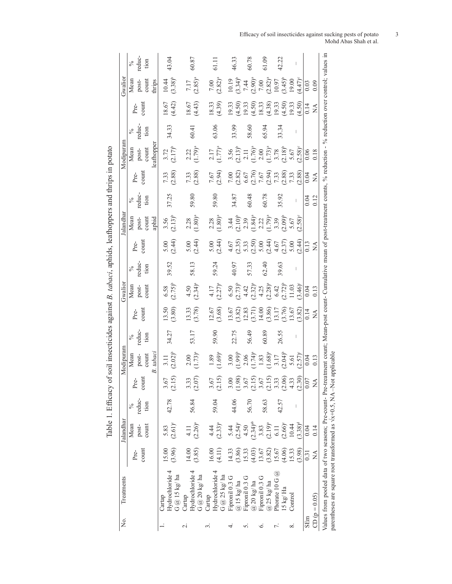| Treatments                                    |                           | Jalandhar                      |                          |                                | Modipuram                                                           |                        |                                   | Gwalior                                                              |                              |                                            | alandhar                                                                        |                        |                  | Modipuram                                                                                  |                        |                                        | Gwalion                                       |                                 |
|-----------------------------------------------|---------------------------|--------------------------------|--------------------------|--------------------------------|---------------------------------------------------------------------|------------------------|-----------------------------------|----------------------------------------------------------------------|------------------------------|--------------------------------------------|---------------------------------------------------------------------------------|------------------------|------------------|--------------------------------------------------------------------------------------------|------------------------|----------------------------------------|-----------------------------------------------|---------------------------------|
|                                               | count<br>P <sub>re-</sub> | Mean<br>count<br>post-         | reduc-<br>tion<br>$\%$   | count<br>Pre-                  | count<br>Mean<br>post-                                              | reduc-<br>tion<br>$\%$ | count<br>Pre-                     | post-<br>count<br>Mean                                               | reduc-<br>tion<br>$\sqrt{6}$ | count<br>Pre-                              | Mean<br>post-<br>count                                                          | reduc-<br>tion<br>$\%$ | count<br>Pre-    | count<br>Mean<br>post-                                                                     | reduc-<br>tion<br>$\%$ | count<br>Pre-                          | Mean<br>post-<br>count                        | reduc-<br>tion<br>$\frac{5}{6}$ |
| Hydrochloride 4<br>G @ 15 kg/ha<br>Cartap     | (3.96)<br>15.00           | $(2.61)^{c}$<br>5.83           | 42.78                    | $3.67$<br>(2.15)               | B. tabaci<br>$3.11$<br>$(2.02)^{b}$                                 | 34.27                  | 13.50<br>(3.80)                   | $6.58$<br>(2.75) <sup>b</sup>                                        | 39.52                        | $5.00$<br>(2.44)                           | $(2.13)^{b}$<br>aphid<br>3.56                                                   | 37.25                  | (2.88)<br>7.33   | eafhopper<br>$(2.17)^b$<br>3.72                                                            | 34.33                  | 18.67<br>(4.42)                        | $(3.38)^{b}$<br>10.44<br>thrips               | 43.04                           |
| Hydrochloride 4<br>G $@$ 20 kg/ha<br>Cartap   | (3.85)<br>14.00           | $(2.26)^{a}$<br>4.11           | 56.84                    | $3.33$<br>(2.07)               | $(1.73)^a$<br>2.00                                                  | 53.17                  | (3.78)<br>13.33                   | $(2.34)^{a}$<br>4.50                                                 | 58.13                        | (2.44)<br>5.00                             | $(1.80)^{a}$<br>2.28                                                            | 59.80                  | (2.88)<br>7.33   | $(1.79)^a$<br>2.22                                                                         | 60.41                  | 18.67<br>(4.43)                        | $7.17$<br>$(2.85)^a$                          | 60.87                           |
| Hydrochloride 4<br>G $@$ 25 kg/ ha<br>Cartap  | 16.00<br>(4.11)           | $(2.33)^{a}$<br>4.44           | 59.04                    | (2.15)<br>3.67                 | $1.89$<br>$(1.69)^a$                                                | 59.90                  | 12.67<br>3.68)                    | $\frac{4.17}{(2.27)^a}$                                              | 59.24                        | $5.00$<br>(2.44)                           | $2.28$<br>(1.80) <sup>a</sup>                                                   | 59.80                  | 7.67<br>2.94)    | $\frac{2.17}{1.77)^a}$                                                                     | 63.06                  | 18.33<br>(4.39)                        | $7.00$<br>$(2.82)^a$                          | 61.11                           |
| Fipronil 0.3 G<br>$@$ 15 kg/ ha               | 14.33<br>(3.86)           | $(2.54)^{c}$<br>5.44           | 44.06                    | $\frac{3.00}{(1.98)}$          | $3.00$<br>1.99) <sup>b</sup>                                        | 22.75                  | 13.67<br>3.82)                    |                                                                      | 40.97                        |                                            |                                                                                 | 34.87                  | $7.00$<br>(2.82) |                                                                                            | 33.99                  | 19.33<br>(4.50)                        |                                               | 46.33                           |
| Fipronil 0.3 G<br>$@$ 20 kg/ ha               | 15.33<br>(4.03)           | $(2.34)$ <sup>ab</sup><br>4.50 | 56.70                    |                                |                                                                     | 56.49                  | $12.83$<br>$(3.71)$               |                                                                      | 57.33                        | $4.67$<br>$(2.35)$<br>$(2.50)$<br>$(2.50)$ |                                                                                 | 60.48                  | $6.67$<br>(2.76) | $\begin{array}{c} 3.56 \\ 2.13 \end{array}$<br>$\begin{array}{c} 2.11 \\ 1.76 \end{array}$ | 58.60                  | (4.50)<br>19.33                        | $10.19$<br>$(3.34)^b$<br>$7.44$<br>$(2.90)^a$ | 60.78                           |
| Fipronil 0.3 G<br>$@$ 25 kg/ ha               | 13.67<br>(3.82)           | $3.83$<br>(2.19) <sup>a</sup>  | 58.63                    | $(2.15)$<br>3.67<br>5<br>(2.1) | $2.06$<br>$(1.74)^a$<br>$1.83$<br>$(1.68)^a$<br>$3.17$<br>$2.04)^b$ | 60.89                  | 14.00                             | $6.50$<br>$(2.73)^b$<br>$4.42$<br>$(2.32)^a$<br>$4.25$<br>$(2.28)^a$ | 62.40                        | $5.00$<br>$(2.44)$                         | $\begin{array}{c} 3.44 \\ (2.10)^b \\ 2.39 \\ (1.84)^a \\ (1.79)^a \end{array}$ | 60.78                  | $7.67$<br>(2.94) | $2.00$<br>1.73) <sup>a</sup>                                                               | 65.94                  | $18.33$<br>(4.38)                      |                                               | 61.09                           |
| Phorate 10 G $@$<br>$15 \text{ kg}/\text{Ha}$ | 15.67<br>(4.06)           | $(2.66)^{\circ}$<br>6.11       | 42.57                    | $3.33$<br>$(2.66)$<br>$4.33$   |                                                                     | 26.55                  | 13.17<br>3.76)                    | $6.42$<br>$(2.72)^{b}$                                               | 39.63                        | $4.67$<br>(2.37)                           | $(2.09)^b$                                                                      | 35.92                  | $7.33$<br>(2.88) | $3.78$<br>$(2.18)^b$                                                                       | 33.34                  | $19.33$<br>(4.50)                      | $7.00$<br>$(2.82)^a$<br>$10.97$<br>$(3.45)^b$ | 42.22                           |
| Control                                       | 15.33<br>(3.98)           | $(3.38)^d$<br>10.44            | $\overline{\phantom{a}}$ | (2.30)                         | $\frac{5.61}{(2.57)^6}$                                             |                        | 13.67<br>3.82                     | $(3.46)$ °<br>11.03                                                  |                              | (2.44)<br>5.00                             | $(2.58)$ <sup>c</sup><br>5.67                                                   | I                      | (2.88)<br>7.33   | $5.67$<br>(2.58) <sup>c</sup>                                                              | I                      | 19.33<br>(4.50)                        | $(4.47)$ °<br>19.00                           |                                 |
| $CD (p = 0.05)$                               | ₹<br>0.31                 | 0.04<br>0.14                   |                          | 0.07<br>Ş                      | 0.04<br>0.13                                                        |                        | 0.14<br>$\mathbb{A}^{\mathbf{A}}$ | 0.04<br>0.13                                                         |                              | 0.13<br>$\tilde{z}$                        |                                                                                 | 0.04<br>0.12           | 0.04<br>Ź        | 0.06<br>0.18                                                                               |                        | 0.14<br>$\mathop{\mathsf{X}}\nolimits$ | 0.09<br>0.03                                  |                                 |

Efficacy of soil insecticides against sucking pests of potato 3 Mohd Abas Shah et al.